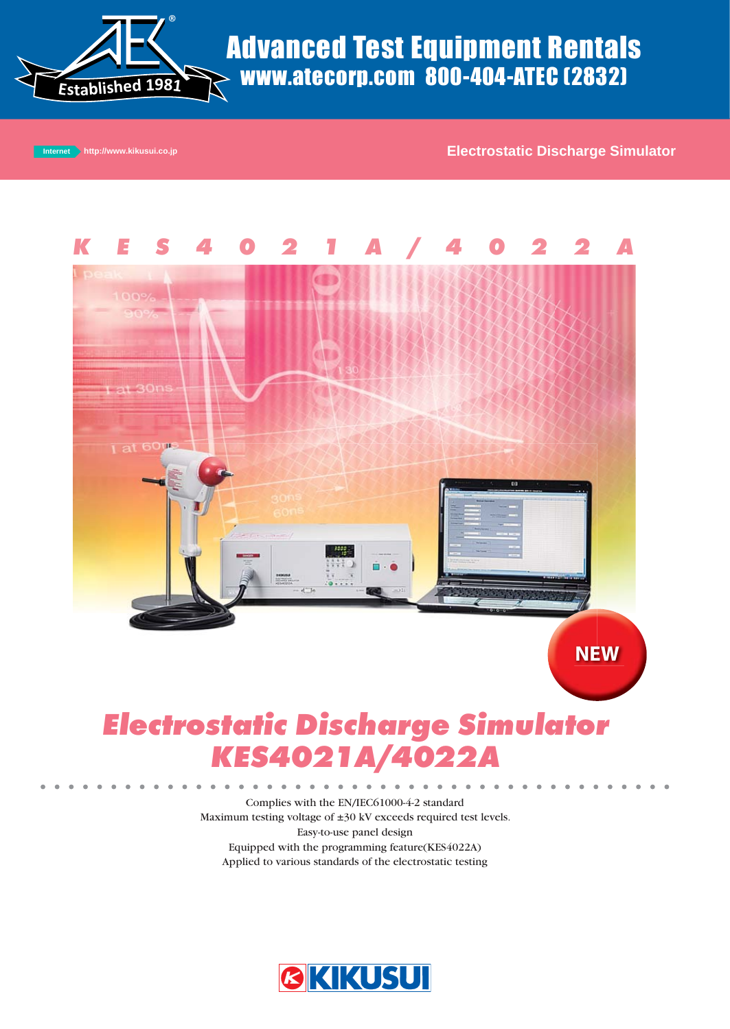

# Advanced Test Equipment Rentals www.atecorp.com 800-404-ATEC (2832)

**Internet Authority Internet Authority Internet Authority Internet Authority Internet Authority Internet Authority Internet Authority Internet Authority Internet Authority Internet Authority Internet Authority Internet Aut** 



# **Electrostatic Discharge Simulator KES4021A/402**

Complies with the EN/IEC61000-4-2 standard Maximum testing voltage of ±30 kV exceeds required test levels. Easy-to-use panel design Equipped with the programming feature(KES4022A) Applied to various standards of the electrostatic testing

 $\bullet$  $\bullet$  $\blacksquare$  $\bullet$ 

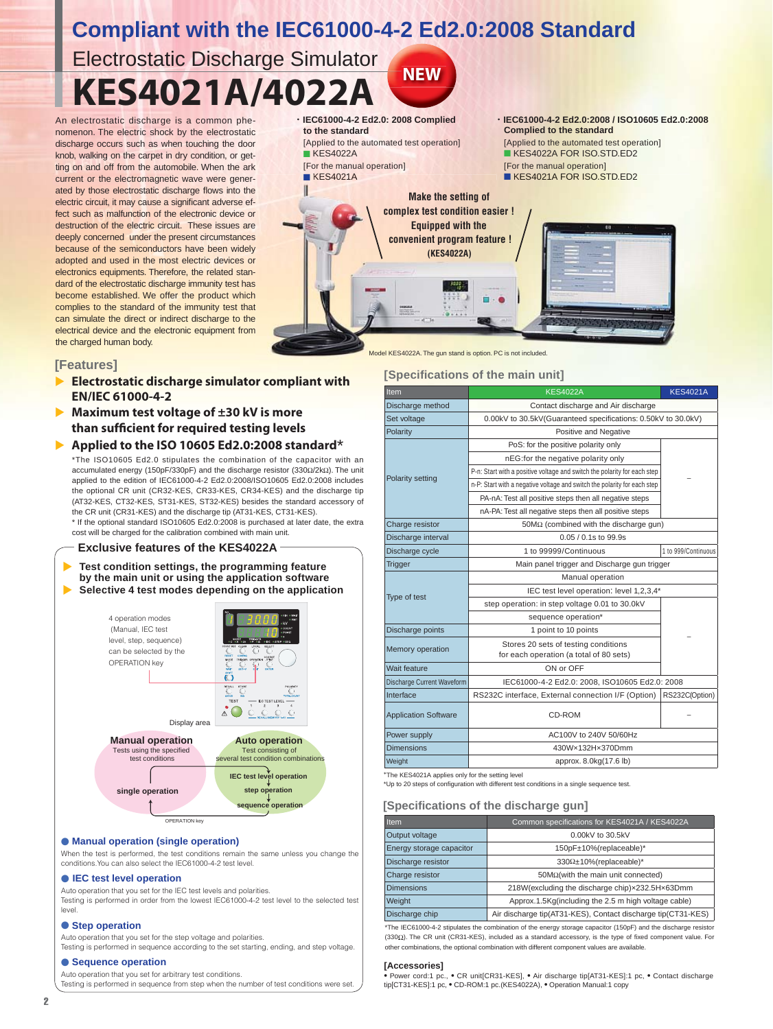# **Compliant with the IEC61000-4-2 Ed2.0:2008 Standard**

**NEW**

**KES4021A/4022A** Electrostatic Discharge Simulator

An electrostatic discharge is a common phenomenon. The electric shock by the electrostatic discharge occurs such as when touching the door knob, walking on the carpet in dry condition, or getting on and off from the automobile. When the ark current or the electromagnetic wave were generated by those electrostatic discharge flows into the electric circuit, it may cause a significant adverse effect such as malfunction of the electronic device or destruction of the electric circuit. These issues are deeply concerned under the present circumstances deeply concerned under the present circumstances<br>because of the semiconductors have been widely adopted and used in the most electric devices or electronics equipments. Therefore, the related standard of the electrostatic discharge immunity test has become established. We offer the product which complies to the standard of the immunity test that t can simulate the direct or indirect discharge to the electrical device and the electronic equipment from the charged human body. e<br>f-<br>pr



# **[Features]**

- ▶ **Electrostatic discharge simulator compliant with EN/IEC 61000-4-2**
- **Maximum test voltage of ±30 kV is more than suffi cient for required testing levels**
- <sup>X</sup> **Applied to the ISO 10605 Ed2.0:2008 standard**\* \*The ISO10605 Ed2.0 stipulates the combination of the capacitor with an accumulated energy (150pF/330pF) and the discharge resistor (330Ω/2kΩ). The unit applied to the edition of IEC61000-4-2 Ed2.0:2008/ISO10605 Ed2.0:2008 includes the optional CR unit (CR32-KES, CR33-KES, CR34-KES) and the discharge tip (AT32-KES, CT32-KES, ST31-KES, ST32-KES) besides the standard accessory of the CR unit (CR31-KES) and the discharge tip (AT31-KES, CT31-KES). \* If the optional standard ISO10605 Ed2.0:2008 is purchased at later date, the extra

cost will be charged for the calibration combined with main unit.

### **Exclusive features of the KES4022A**

Test condition settings, the programming feature  **by the main unit or using the application software** X **Selective 4 test modes depending on the application**



## ● **Manual operation (single operation)**

When the test is performed, the test conditions remain the same unless you change the conditions.You can also select the IEC61000-4-2 test level.

#### ● **IEC test level operation**

Auto operation that you set for the IEC test levels and polarities.

Testing is performed in order from the lowest IEC61000-4-2 test level to the selected test level.

#### ● **Step operation**

Auto operation that you set for the step voltage and polarities.

Testing is performed in sequence according to the set starting, ending, and step voltage.

#### ● **Sequence operation** Auto operation that you set for arbitrary test conditions.

Testing is performed in sequence from step when the number of test conditions were set.

## Model KES4022A. The gun stand is option. PC is not included

# **[Specifications of the main unit]**

| Item                                             | <b>KES4022A</b>                                                          | <b>KES4021A</b>     |  |
|--------------------------------------------------|--------------------------------------------------------------------------|---------------------|--|
| Discharge method                                 | Contact discharge and Air discharge                                      |                     |  |
| Set voltage                                      | 0.00kV to 30.5kV(Guaranteed specifications: 0.50kV to 30.0kV)            |                     |  |
| Polarity                                         | Positive and Negative                                                    |                     |  |
|                                                  | PoS: for the positive polarity only                                      |                     |  |
|                                                  | nEG:for the negative polarity only                                       |                     |  |
|                                                  | P-n: Start with a positive voltage and switch the polarity for each step |                     |  |
| Polarity setting                                 | n-P: Start with a negative voltage and switch the polarity for each step |                     |  |
|                                                  | PA-nA: Test all positive steps then all negative steps                   |                     |  |
|                                                  | nA-PA: Test all negative steps then all positive steps                   |                     |  |
| Charge resistor                                  | $50M\Omega$ (combined with the discharge gun)                            |                     |  |
| Discharge interval                               | 0.05 / 0.1s to 99.9s                                                     |                     |  |
| Discharge cycle                                  | 1 to 99999/Continuous                                                    | 1 to 999/Continuous |  |
| <b>Trigger</b>                                   | Main panel trigger and Discharge gun trigger                             |                     |  |
|                                                  | Manual operation                                                         |                     |  |
| Type of test                                     | IEC test level operation: level 1,2,3,4*                                 |                     |  |
|                                                  | step operation: in step voltage 0.01 to 30.0kV                           |                     |  |
|                                                  | sequence operation*                                                      |                     |  |
| 1 point to 10 points<br>Discharge points         |                                                                          |                     |  |
| Memory operation                                 | Stores 20 sets of testing conditions                                     |                     |  |
| for each operation (a total of 80 sets)          |                                                                          |                     |  |
| Wait feature                                     | ON or OFF                                                                |                     |  |
| Discharge Current Waveform                       | IEC61000-4-2 Ed2.0: 2008, ISO10605 Ed2.0: 2008                           |                     |  |
| Interface                                        | RS232C interface, External connection I/F (Option)                       | RS232C(Option)      |  |
| <b>Application Software</b>                      | CD-ROM                                                                   |                     |  |
| Power supply                                     | AC100V to 240V 50/60Hz                                                   |                     |  |
| <b>Dimensions</b>                                | 430W×132H×370Dmm                                                         |                     |  |
| Weight                                           | approx. 8.0kg(17.6 lb)                                                   |                     |  |
| *The KES4021A applies only for the setting level |                                                                          |                     |  |

\*Up to 20 steps of configuration with different test conditions in a single sequence test.

# **[Specifications of the discharge gun]**

| <b>Item</b>              | Common specifications for KES4021A / KES4022A                |
|--------------------------|--------------------------------------------------------------|
| Output voltage           | 0.00kV to 30.5kV                                             |
| Energy storage capacitor | 150pF±10%(replaceable)*                                      |
| Discharge resistor       | $330\Omega \pm 10\%$ (replaceable)*                          |
| Charge resistor          | $50M2(with the main unit connected)$                         |
| <b>Dimensions</b>        | 218W(excluding the discharge chip)x232.5Hx63Dmm              |
| Weight                   | Approx.1.5Kg(including the 2.5 m high voltage cable)         |
| Discharge chip           | Air discharge tip(AT31-KES), Contact discharge tip(CT31-KES) |

\*The IEC61000-4-2 stipulates the combination of the energy storage capacitor (150pF) and the discharge resistor (330Ω). The CR unit (CR31-KES), included as a standard accessory, is the type of fixed component value. For other combinations, the optional combination with different component values are available.

#### **[Accessories]**

• Power cord:1 pc., • CR unit[CR31-KES], • Air discharge tip[AT31-KES]:1 pc, • Contact discharge tip[CT31-KES]:1 pc, • CD-ROM:1 pc.(KES4022A), • Operation Manual:1 copy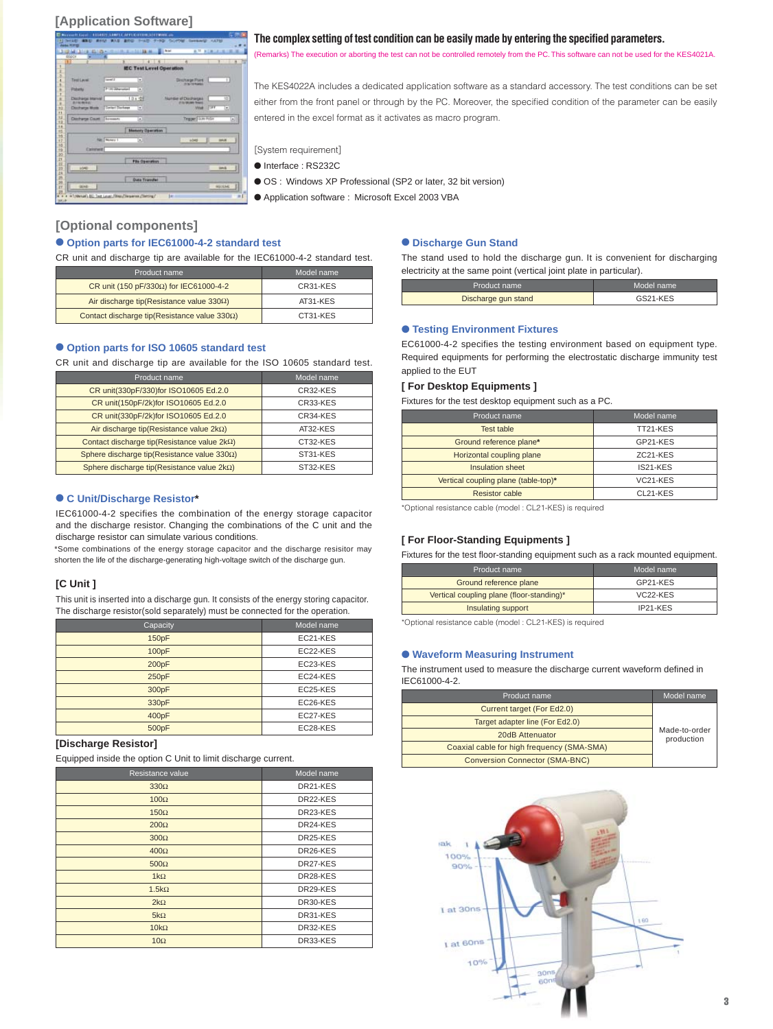# **[Application Software]**

| 234 (314) 2310-<br><b>DOCT</b>      |                      | 51198                   | EL Nat                          | $B$ . TI<br>٠                      |       |                              |
|-------------------------------------|----------------------|-------------------------|---------------------------------|------------------------------------|-------|------------------------------|
| п                                   |                      |                         | <b>IEC Test Level Operation</b> | ×                                  |       |                              |
|                                     |                      |                         |                                 |                                    |       |                              |
| TestLevel                           | Layed 2              | Ξ                       |                                 | Discharge Point<br>IT IS TO FAMILY |       | Ŧ                            |
| Polanty                             | T-14 Mary select     | ×                       |                                 |                                    |       |                              |
| Distribute Interval                 |                      | 10m 世                   | <b>Numble of Discharges</b>     |                                    |       | $\overline{10}$              |
| 2010 82100 9100                     |                      |                         |                                 | 27 To 100,000 Thrust II            |       |                              |
| Discharge Monte   Deriver Discharge |                      | Ð                       |                                 | <b><i><u>Wind</u></i></b>          | 17597 | $\left( \frac{1}{2} \right)$ |
| Discharge Count: Terrearts          |                      | $\left  \cdot \right $  |                                 | Traper Film Puller                 |       | 의                            |
|                                     |                      | <b>Memory Operation</b> |                                 |                                    |       |                              |
|                                     | <b>Ritt Thomas 1</b> | ٠                       |                                 | <b>Lises</b>                       |       | <b>SHAR</b>                  |
| <b>Connect</b>                      |                      |                         |                                 |                                    |       |                              |
|                                     |                      |                         |                                 |                                    |       |                              |
|                                     |                      | <b>File Operation</b>   |                                 |                                    |       |                              |
| LOAD                                |                      |                         |                                 |                                    |       | <b>SHAR</b>                  |
|                                     |                      | <b>Data Traveller</b>   |                                 |                                    |       |                              |
| <b>GENR</b>                         |                      |                         |                                 |                                    |       | <b>ASCOMO</b>                |

#### **The complex setting of test condition can be easily made by entering the specified parameters.**

(Remarks) The execution or aborting the test can not be controlled remotely from the PC. This software can not be used for the KES4021A.

The KES4022A includes a dedicated application software as a standard accessory. The test conditions can be set either from the front panel or through by the PC. Moreover, the specified condition of the parameter can be easily entered in the excel format as it activates as macro program.

[System requirement]

- Interface : RS232C
- OS : Windows XP Professional (SP2 or later, 32 bit version)
- Application software : Microsoft Excel 2003 VBA

# **[Optional components]**

## ● **Option parts for IEC61000-4-2 standard test**

CR unit and discharge tip are available for the IEC61000-4-2 standard test.

| Product name                                          | Model name |
|-------------------------------------------------------|------------|
| CR unit (150 pF/330 $\Omega$ ) for IEC61000-4-2       | CR31-KES   |
| Air discharge tip(Resistance value $330\Omega$ )      | AT31-KES   |
| Contact discharge tip (Resistance value $330\Omega$ ) | CT31-KES   |

# ● **Option parts for ISO 10605 standard test**

CR unit and discharge tip are available for the ISO 10605 standard test.

| CR unit(330pF/330)for ISO10605 Ed.2.0<br>CR32-KES<br>CR unit(150pF/2k)for ISO10605 Ed.2.0<br>CR33-KES<br>CR unit(330pF/2k)for ISO10605 Ed.2.0<br>CR34-KES<br>Air discharge tip(Resistance value $2k\Omega$ )<br>AT32-KES | Product name | Model name |
|--------------------------------------------------------------------------------------------------------------------------------------------------------------------------------------------------------------------------|--------------|------------|
|                                                                                                                                                                                                                          |              |            |
|                                                                                                                                                                                                                          |              |            |
|                                                                                                                                                                                                                          |              |            |
|                                                                                                                                                                                                                          |              |            |
| Contact discharge tip(Resistance value $2k\Omega$ )<br>CT32-KES                                                                                                                                                          |              |            |
| Sphere discharge tip(Resistance value $330\Omega$ )<br>ST31-KES                                                                                                                                                          |              |            |
| Sphere discharge tip(Resistance value $2k\Omega$ )<br>ST32-KES                                                                                                                                                           |              |            |

# ● **C Unit/Discharge Resistor\***

IEC61000-4-2 specifies the combination of the energy storage capacitor and the discharge resistor. Changing the combinations of the C unit and the discharge resistor can simulate various conditions.

\*Some combinations of the energy storage capacitor and the discharge resisitor may shorten the life of the discharge-generating high-voltage switch of the discharge gun.

# **[C Unit ]**

This unit is inserted into a discharge gun. It consists of the energy storing capacitor. The discharge resistor(sold separately) must be connected for the operation.

| Capacity | Model name |
|----------|------------|
| 150pF    | EC21-KES   |
| 100pF    | EC22-KES   |
| 200pF    | EC23-KES   |
| 250pF    | EC24-KES   |
| 300pF    | EC25-KES   |
| 330pF    | EC26-KES   |
| 400pF    | EC27-KES   |
| 500pF    | EC28-KES   |

### **[Discharge Resistor]**

Equipped inside the option C Unit to limit discharge current.

| Resistance value | Model name |
|------------------|------------|
| $330\Omega$      | DR21-KES   |
| $100\Omega$      | DR22-KES   |
| $150\Omega$      | DR23-KES   |
| $200\Omega$      | DR24-KES   |
| $300\Omega$      | DR25-KES   |
| $400\Omega$      | DR26-KES   |
| $500\Omega$      | DR27-KES   |
| $1k\Omega$       | DR28-KES   |
| $1.5k\Omega$     | DR29-KES   |
| $2k\Omega$       | DR30-KES   |
| $5k\Omega$       | DR31-KES   |
| $10k\Omega$      | DR32-KES   |
| $10\Omega$       | DR33-KES   |

#### ● **Discharge Gun Stand**

The stand used to hold the discharge gun. It is convenient for discharging electricity at the same point (vertical joint plate in particular).

| Product name        | Model name |
|---------------------|------------|
| Discharge gun stand | GS21-KES   |

#### ● **Testing Environment Fixtures**

EC61000-4-2 specifies the testing environment based on equipment type. Required equipments for performing the electrostatic discharge immunity test applied to the EUT

## **[ For Desktop Equipments ]**

Fixtures for the test desktop equipment such as a PC.

| Product name                         | Model name            |
|--------------------------------------|-----------------------|
| Test table                           | TT21-KES              |
| Ground reference plane*              | GP21-KES              |
| Horizontal coupling plane            | ZC <sub>21</sub> -KES |
| Insulation sheet                     | IS21-KES              |
| Vertical coupling plane (table-top)* | VC <sub>21</sub> -KES |
| <b>Resistor cable</b>                | CL21-KES              |

\*Optional resistance cable (model : CL21-KES) is required

#### **[ For Floor-Standing Equipments ]**

Fixtures for the test floor-standing equipment such as a rack mounted equipment.

| Product name                              | Model name            |
|-------------------------------------------|-----------------------|
| Ground reference plane                    | GP21-KES              |
| Vertical coupling plane (floor-standing)* | VC <sub>22</sub> -KES |
| Insulating support                        | IP21-KES              |

\*Optional resistance cable (model : CL21-KES) is required

### ● **Waveform Measuring Instrument**

The instrument used to measure the discharge current waveform defined in IEC61000-4-2.

| Product name                               | Model name                  |
|--------------------------------------------|-----------------------------|
| Current target (For Ed2.0)                 | Made-to-order<br>production |
| Target adapter line (For Ed2.0)            |                             |
| 20dB Attenuator                            |                             |
| Coaxial cable for high frequency (SMA-SMA) |                             |
| <b>Conversion Connector (SMA-BNC)</b>      |                             |